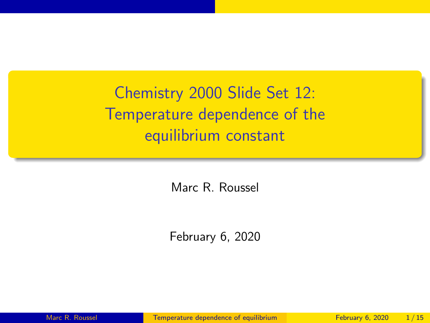<span id="page-0-0"></span>Chemistry 2000 Slide Set 12: Temperature dependence of the equilibrium constant

Marc R. Roussel

February 6, 2020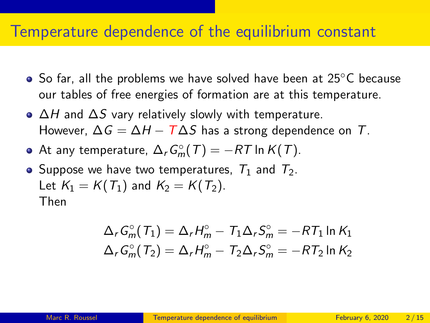### Temperature dependence of the equilibrium constant

- So far, all the problems we have solved have been at 25<sup>°</sup>C because our tables of free energies of formation are at this temperature.
- $\triangle H$  and  $\triangle S$  vary relatively slowly with temperature. However,  $\Delta G = \Delta H - T \Delta S$  has a strong dependence on T.
- At any temperature,  $\Delta_r G_m^{\circ}(\mathcal{T}) = -RT$  In  $K(\mathcal{T})$ .
- Suppose we have two temperatures,  $T_1$  and  $T_2$ . Let  $K_1 = K(T_1)$  and  $K_2 = K(T_2)$ . Then

$$
\Delta_r G_m^{\circ}(T_1) = \Delta_r H_m^{\circ} - T_1 \Delta_r S_m^{\circ} = -RT_1 \ln K_1
$$
  

$$
\Delta_r G_m^{\circ}(T_2) = \Delta_r H_m^{\circ} - T_2 \Delta_r S_m^{\circ} = -RT_2 \ln K_2
$$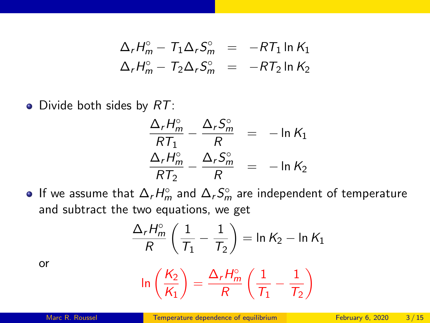$$
\Delta_r H_m^{\circ} - T_1 \Delta_r S_m^{\circ} = -RT_1 \ln K_1
$$
  

$$
\Delta_r H_m^{\circ} - T_2 \Delta_r S_m^{\circ} = -RT_2 \ln K_2
$$

• Divide both sides by  $RT$ :

$$
\frac{\Delta_r H_m^{\circ}}{RT_1} - \frac{\Delta_r S_m^{\circ}}{R} = -\ln K_1
$$
  

$$
\frac{\Delta_r H_m^{\circ}}{RT_2} - \frac{\Delta_r S_m^{\circ}}{R} = -\ln K_2
$$

If we assume that  $\Delta_r H_m^\circ$  and  $\Delta_r S_m^\circ$  are independent of temperature and subtract the two equations, we get

$$
\frac{\Delta_r H_m^{\circ}}{R} \left( \frac{1}{\mathcal{T}_1} - \frac{1}{\mathcal{T}_2} \right) = \ln K_2 - \ln K_1
$$

or

$$
\ln\left(\frac{K_2}{K_1}\right)=\frac{\Delta_rH_m^\circ}{R}\left(\frac{1}{T_1}-\frac{1}{T_2}\right)
$$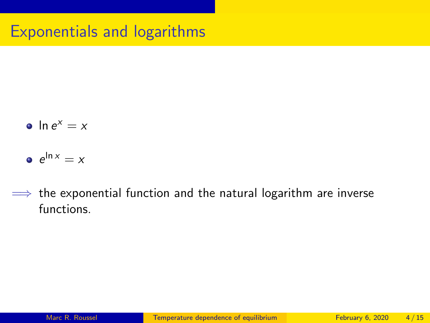- $\ln e^x = x$
- $e^{\ln x} = x$
- $\implies$  the exponential function and the natural logarithm are inverse functions.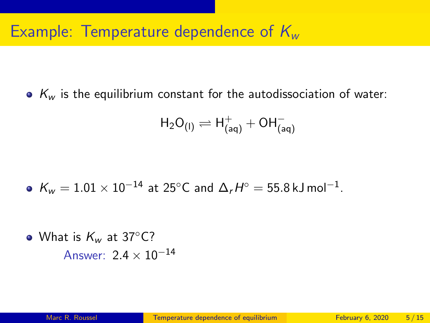## Example: Temperature dependence of  $K_{w}$

 $\bullet$  K<sub>w</sub> is the equilibrium constant for the autodissociation of water:

$$
\mathsf{H}_2\mathsf{O}_{(\mathsf{I})} \rightleftharpoons \mathsf{H}^+_{(\mathsf{aq})} + \mathsf{OH}^-_{(\mathsf{aq})}
$$

$$
\bullet\ \text{ }{\sf K_w}=1.01\times10^{-14}\ \text{at}\ 25^{\circ}{\sf C}\ \text{and}\ \Delta_rH^{\circ}=55.8\,\text{kJ}\,\text{mol}^{-1}.
$$

• What is  $K_w$  at 37 $\degree$ C? Answer:  $2.4 \times 10^{-14}$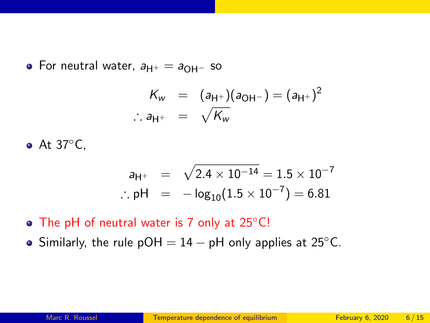• For neutral water,  $a_{H^+} = a_{OH^-}$  so

$$
K_w = (a_{H^+})(a_{OH^-}) = (a_{H^+})^2
$$
  
:.  $a_{H^+} = \sqrt{K_w}$ 

At 37◦C,

$$
a_{H^+} = \sqrt{2.4 \times 10^{-14}} = 1.5 \times 10^{-7}
$$
  
: pH =  $-\log_{10}(1.5 \times 10^{-7}) = 6.81$ 

- The pH of neutral water is 7 only at 25<sup>°</sup>C!
- Similarly, the rule  $pOH = 14 pH$  only applies at 25 $°C$ .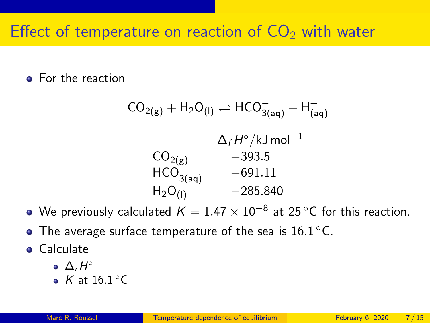# Effect of temperature on reaction of  $CO<sub>2</sub>$  with water

#### • For the reaction

$$
CO_{2(g)} + H_2O_{(1)} \rightleftharpoons HCO_{3(aq)}^- + H_{(aq)}^+
$$
  
\n
$$
\frac{\Delta_f H^{\circ}/kJ \text{ mol}^{-1}}{CO_{2(g)} - 393.5}
$$
  
\n
$$
HCO_{3(aq)}^- - 691.11
$$
  
\n
$$
H_2O_{(1)}^- - 285.840
$$

- We previously calculated  $K=1.47\times10^{-8}$  at 25 °C for this reaction.
- The average surface temperature of the sea is  $16.1\,^{\circ}\text{C}$ .
- **•** Calculate
	- $\Delta_r H^\circ$
	- $K$  at 16.1 $^{\circ}$ C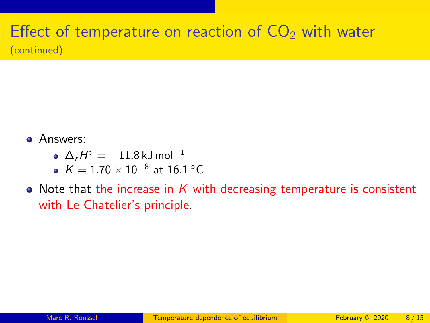### Effect of temperature on reaction of  $CO<sub>2</sub>$  with water (continued)

- Answers:
	- $\Delta_r H^\circ = -11.8$  kJ mol $^{-1}$
	- $\mathcal{K}=1.70\times 10^{-8}$  at  $16.1\,^{\circ}\mathrm{C}$
- Note that the increase in  $K$  with decreasing temperature is consistent with Le Chatelier's principle.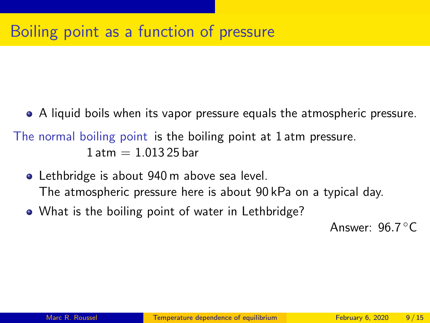A liquid boils when its vapor pressure equals the atmospheric pressure.

The normal boiling point is the boiling point at 1 atm pressure.  $1$  atm  $= 1.01325$  bar

- **•** Lethbridge is about 940 m above sea level. The atmospheric pressure here is about 90 kPa on a typical day.
- What is the boiling point of water in Lethbridge?

Answer: 96.7 °C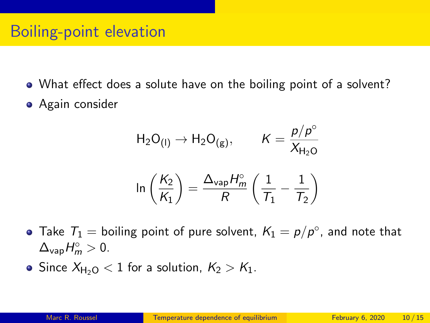- What effect does a solute have on the boiling point of a solvent?
- **•** Again consider

$$
H_2O_{(I)} \rightarrow H_2O_{(g)}, \qquad K = \frac{p/p^\circ}{X_{H_2O}}
$$

$$
ln\left(\frac{K_2}{K_1}\right) = \frac{\Delta_{vap}H_m^\circ}{R}\left(\frac{1}{T_1} - \frac{1}{T_2}\right)
$$

- Take  $T_1 =$  boiling point of pure solvent,  $K_1 = p/p^{\circ}$ , and note that  $\Delta_{\text{vap}}H_m^{\circ} > 0.$
- Since  $X_{H_2O}$  < 1 for a solution,  $K_2 > K_1$ .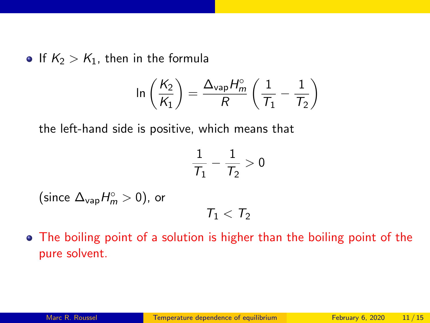If  $K_2 > K_1$ , then in the formula

$$
\ln\left(\frac{K_2}{K_1}\right) = \frac{\Delta_{\text{vap}}H_m^{\circ}}{R}\left(\frac{1}{\mathcal{T}_1} - \frac{1}{\mathcal{T}_2}\right)
$$

the left-hand side is positive, which means that

$$
\frac{1}{\mathcal{T}_1}-\frac{1}{\mathcal{T}_2}>0
$$

(since  $\Delta_{\text{vap}}H_m^{\circ} > 0$ ), or

$$
\mathcal{T}_1<\mathcal{T}_2
$$

• The boiling point of a solution is higher than the boiling point of the pure solvent.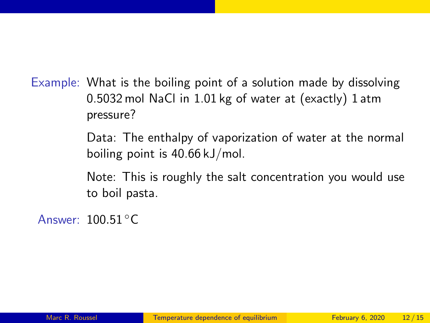Example: What is the boiling point of a solution made by dissolving 0.5032 mol NaCl in 1.01 kg of water at (exactly) 1 atm pressure?

> Data: The enthalpy of vaporization of water at the normal boiling point is 40.66 kJ/mol.

> Note: This is roughly the salt concentration you would use to boil pasta.

Answer: 100.51 ◦C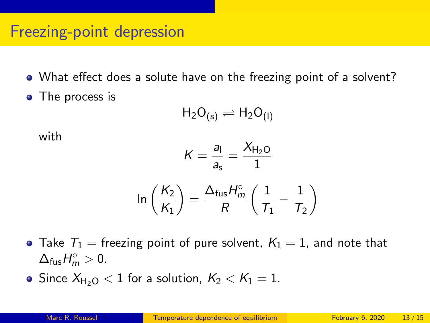### Freezing-point depression

- What effect does a solute have on the freezing point of a solvent?
- The process is

$$
H_2O_{(s)}\rightleftharpoons H_2O_{(I)}
$$

with

$$
K = \frac{a_1}{a_s} = \frac{X_{H_2O}}{1}
$$

$$
\ln\left(\frac{K_2}{K_1}\right) = \frac{\Delta_{\text{fus}}H_m^{\circ}}{R}\left(\frac{1}{T_1} - \frac{1}{T_2}\right)
$$

• Take  $T_1$  = freezing point of pure solvent,  $K_1 = 1$ , and note that  $\Delta_{\text{fus}}H_m^{\circ} > 0.$ 

• Since  $X_{H_2O}$  < 1 for a solution,  $K_2 < K_1 = 1$ .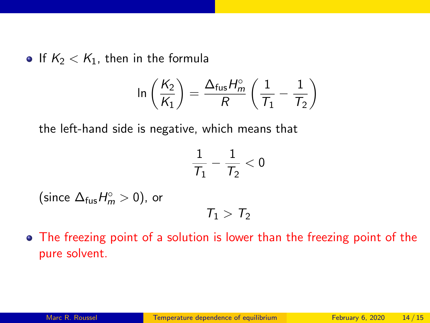If  $K_2 < K_1$ , then in the formula

$$
\ln\left(\frac{K_2}{K_1}\right) = \frac{\Delta_{\text{fus}}H_m^{\circ}}{R}\left(\frac{1}{T_1} - \frac{1}{T_2}\right)
$$

the left-hand side is negative, which means that

$$
\frac{1}{\mathcal{T}_1}-\frac{1}{\mathcal{T}_2}<0
$$

(since  $\Delta_{\text{fus}}H_m^{\circ} > 0$ ), or

$$
\mathcal{T}_1 > \mathcal{T}_2
$$

The freezing point of a solution is lower than the freezing point of the pure solvent.